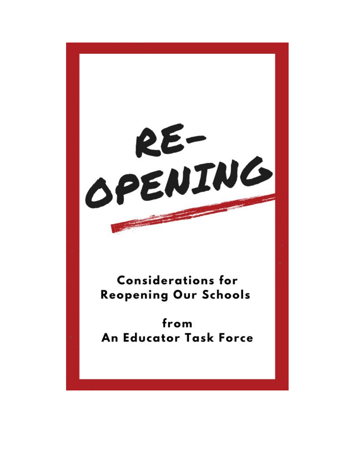RE-**Considerations for Reopening Our Schools** from An Educator Task Force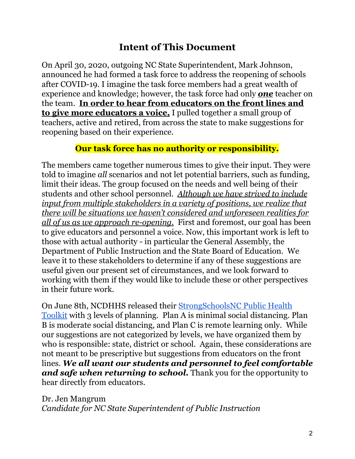## **Intent of This Document**

On April 30, 2020, outgoing NC State Superintendent, Mark Johnson, announced he had formed a task force to address the reopening of schools after COVID-19. I imagine the task force members had a great wealth of experience and knowledge; however, the task force had only *one* teacher on the team. **In order to hear from educators on the front lines and to give more educators a voice,** I pulled together a small group of teachers, active and retired, from across the state to make suggestions for reopening based on their experience.

#### **Our task force has no authority or responsibility.**

The members came together numerous times to give their input. They were told to imagine *all* scenarios and not let potential barriers, such as funding, limit their ideas. The group focused on the needs and well being of their students and other school personnel. *Although we have strived to include input from multiple stakeholders in a variety of positions, we realize that there will be situations we haven't considered and unforeseen realities for all of us as we approach re-opening.* First and foremost, our goal has been to give educators and personnel a voice. Now, this important work is left to those with actual authority - in particular the General Assembly, the Department of Public Instruction and the State Board of Education. We leave it to these stakeholders to determine if any of these suggestions are useful given our present set of circumstances, and we look forward to working with them if they would like to include these or other perspectives in their future work.

On June 8th, NCDHHS released their [StrongSchoolsNC](https://files.nc.gov/covid/documents/guidance/Strong-Schools-NC-Public-Health-Toolkit.pdf) Public Health [Toolkit](https://files.nc.gov/covid/documents/guidance/Strong-Schools-NC-Public-Health-Toolkit.pdf) with 3 levels of planning. Plan A is minimal social distancing. Plan B is moderate social distancing, and Plan C is remote learning only. While our suggestions are not categorized by levels, we have organized them by who is responsible: state, district or school. Again, these considerations are not meant to be prescriptive but suggestions from educators on the front lines. *We all want our students and personnel to feel comfortable and safe when returning to school.* Thank you for the opportunity to hear directly from educators.

Dr. Jen Mangrum *Candidate for NC State Superintendent of Public Instruction*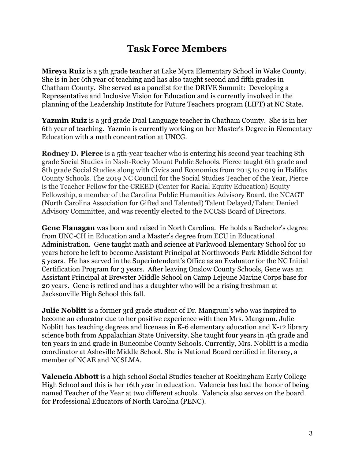## **Task Force Members**

**Mireya Ruiz** is a 5th grade teacher at Lake Myra Elementary School in Wake County. She is in her 6th year of teaching and has also taught second and fifth grades in Chatham County. She served as a panelist for the DRIVE Summit: Developing a Representative and Inclusive Vision for Education and is currently involved in the planning of the Leadership Institute for Future Teachers program (LIFT) at NC State.

**Yazmin Ruiz** is a 3rd grade Dual Language teacher in Chatham County. She is in her 6th year of teaching. Yazmin is currently working on her Master's Degree in Elementary Education with a math concentration at UNCG.

**Rodney D. Pierce** is a 5<sup>th</sup>-year teacher who is entering his second year teaching 8<sup>th</sup> grade Social Studies in Nash-Rocky Mount Public Schools. Pierce taught 6th grade and 8th grade Social Studies along with Civics and Economics from 2015 to 2019 in Halifax County Schools. The 2019 NC Council for the Social Studies Teacher of the Year, Pierce is the Teacher Fellow for the CREED (Center for Racial Equity Education) Equity Fellowship, a member of the Carolina Public Humanities Advisory Board, the NCAGT (North Carolina Association for Gifted and Talented) Talent Delayed/Talent Denied Advisory Committee, and was recently elected to the NCCSS Board of Directors.

**Gene Flanagan** was born and raised in North Carolina. He holds a Bachelor's degree from UNC-CH in Education and a Master's degree from ECU in Educational Administration. Gene taught math and science at Parkwood Elementary School for 10 years before he left to become Assistant Principal at Northwoods Park Middle School for 5 years. He has served in the Superintendent's Office as an Evaluator for the NC Initial Certification Program for 3 years. After leaving Onslow County Schools, Gene was an Assistant Principal at Brewster Middle School on Camp Lejeune Marine Corps base for 20 years. Gene is retired and has a daughter who will be a rising freshman at Jacksonville High School this fall.

**Julie Noblitt** is a former 3rd grade student of Dr. Mangrum's who was inspired to become an educator due to her positive experience with then Mrs. Mangrum. Julie Noblitt has teaching degrees and licenses in K-6 elementary education and K-12 library science both from Appalachian State University. She taught four years in 4th grade and ten years in 2nd grade in Buncombe County Schools. Currently, Mrs. Noblitt is a media coordinator at Asheville Middle School. She is National Board certified in literacy, a member of NCAE and NCSLMA.

**Valencia Abbott** is a high school Social Studies teacher at Rockingham Early College High School and this is her 16th year in education. Valencia has had the honor of being named Teacher of the Year at two different schools. Valencia also serves on the board for Professional Educators of North Carolina (PENC).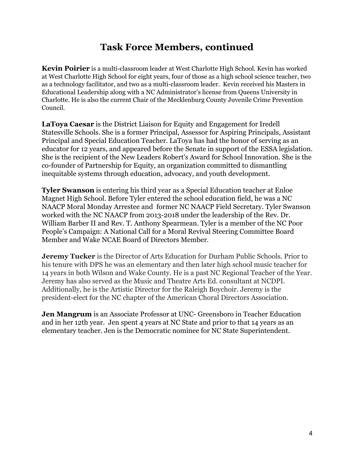## **Task Force Members, continued**

**Kevin Poirier** is a multi-classroom leader at West Charlotte High School. Kevin has worked at West Charlotte High School for eight years, four of those as a high school science teacher, two as a technology facilitator, and two as a multi-classroom leader. Kevin received his Masters in Educational Leadership along with a NC Administrator's license from Queens University in Charlotte. He is also the current Chair of the Mecklenburg County Juvenile Crime Prevention Council.

**LaToya Caesar** is the District Liaison for Equity and Engagement for Iredell Statesville Schools. She is a former Principal, Assessor for Aspiring Principals, Assistant Principal and Special Education Teacher. LaToya has had the honor of serving as an educator for 12 years, and appeared before the Senate in support of the ESSA legislation. She is the recipient of the New Leaders Robert's Award for School Innovation. She is the co-founder of Partnership for Equity, an organization committed to dismantling inequitable systems through education, advocacy, and youth development.

**Tyler Swanson** is entering his third year as a Special Education teacher at Enloe Magnet High School. Before Tyler entered the school education field, he was a NC NAACP Moral Monday Arrestee and former NC NAACP Field Secretary. Tyler Swanson worked with the NC NAACP from 2013-2018 under the leadership of the Rev. Dr. William Barber II and Rev. T. Anthony Spearmean. Tyler is a member of the NC Poor People's Campaign: A National Call for a Moral Revival Steering Committee Board Member and Wake NCAE Board of Directors Member.

**Jeremy Tucker** is the Director of Arts Education for Durham Public Schools. Prior to his tenure with DPS he was an elementary and then later high school music teacher for 14 years in both Wilson and Wake County. He is a past NC Regional Teacher of the Year. Jeremy has also served as the Music and Theatre Arts Ed. consultant at NCDPI. Additionally, he is the Artistic Director for the Raleigh Boychoir. Jeremy is the president-elect for the NC chapter of the American Choral Directors Association.

**Jen Mangrum** is an Associate Professor at UNC- Greensboro in Teacher Education and in her 12th year. Jen spent 4 years at NC State and prior to that 14 years as an elementary teacher. Jen is the Democratic nominee for NC State Superintendent.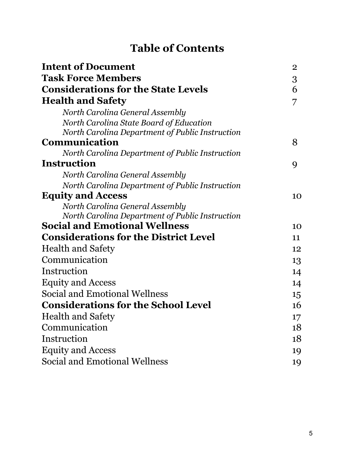# **Table of Contents**

| <b>Intent of Document</b>                       | $\overline{2}$ |
|-------------------------------------------------|----------------|
| <b>Task Force Members</b>                       | 3              |
| <b>Considerations for the State Levels</b>      | 6              |
| <b>Health and Safety</b>                        | 7              |
| North Carolina General Assembly                 |                |
| North Carolina State Board of Education         |                |
| North Carolina Department of Public Instruction |                |
| Communication                                   | 8              |
| North Carolina Department of Public Instruction |                |
| <b>Instruction</b>                              | 9              |
| North Carolina General Assembly                 |                |
| North Carolina Department of Public Instruction |                |
| <b>Equity and Access</b>                        | 10             |
| North Carolina General Assembly                 |                |
| North Carolina Department of Public Instruction |                |
| <b>Social and Emotional Wellness</b>            | 10             |
| <b>Considerations for the District Level</b>    | 11             |
| <b>Health and Safety</b>                        | 12             |
| Communication                                   | 13             |
| Instruction                                     | 14             |
| <b>Equity and Access</b>                        | 14             |
| <b>Social and Emotional Wellness</b>            | 15             |
| <b>Considerations for the School Level</b>      | 16             |
| <b>Health and Safety</b>                        | 17             |
| Communication                                   | 18             |
| Instruction                                     | 18             |
| <b>Equity and Access</b>                        | 19             |
| <b>Social and Emotional Wellness</b>            | 19             |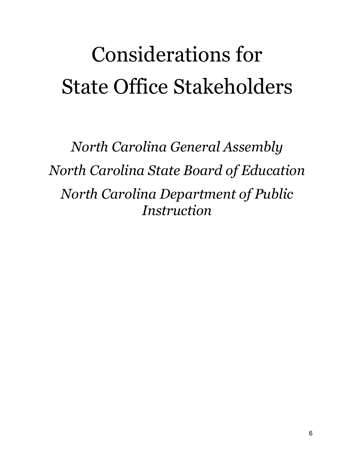# Considerations for State Office Stakeholders

*North Carolina General Assembly North Carolina State Board of Education North Carolina Department of Public Instruction*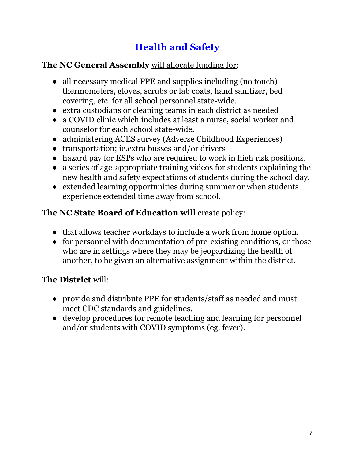# **Health and Safety**

## **The NC General Assembly** will allocate funding for:

- all necessary medical PPE and supplies including (no touch) thermometers, gloves, scrubs or lab coats, hand sanitizer, bed covering, etc. for all school personnel state-wide.
- extra custodians or cleaning teams in each district as needed
- a COVID clinic which includes at least a nurse, social worker and counselor for each school state-wide.
- administering ACES survey (Adverse Childhood Experiences)
- transportation; ie.extra busses and/or drivers
- hazard pay for ESPs who are required to work in high risk positions.
- a series of age-appropriate training videos for students explaining the new health and safety expectations of students during the school day.
- extended learning opportunities during summer or when students experience extended time away from school.

## **The NC State Board of Education will** create policy:

- that allows teacher workdays to include a work from home option.
- for personnel with documentation of pre-existing conditions, or those who are in settings where they may be jeopardizing the health of another, to be given an alternative assignment within the district.

## **The District** will:

- provide and distribute PPE for students/staff as needed and must meet CDC standards and guidelines.
- develop procedures for remote teaching and learning for personnel and/or students with COVID symptoms (eg. fever).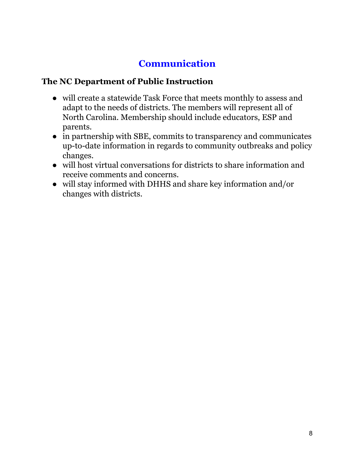# **Communication**

#### **The NC Department of Public Instruction**

- will create a statewide Task Force that meets monthly to assess and adapt to the needs of districts. The members will represent all of North Carolina. Membership should include educators, ESP and parents.
- in partnership with SBE, commits to transparency and communicates up-to-date information in regards to community outbreaks and policy changes.
- will host virtual conversations for districts to share information and receive comments and concerns.
- will stay informed with DHHS and share key information and/or changes with districts.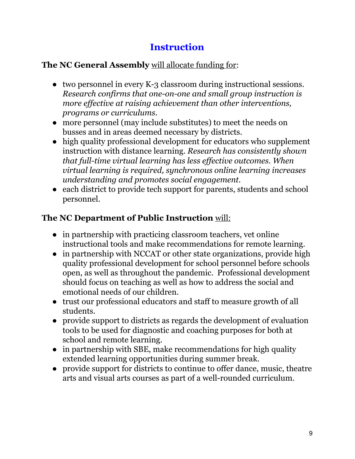## **Instruction**

## **The NC General Assembly** will allocate funding for:

- two personnel in every K-3 classroom during instructional sessions. *Research confirms that one-on-one and small group instruction is more ef ective at raising achievement than other interventions, programs or curriculums.*
- more personnel (may include substitutes) to meet the needs on busses and in areas deemed necessary by districts.
- high quality professional development for educators who supplement instruction with distance learning. *Research has consistently shown that full-time virtual learning has less ef ective outcomes. When virtual learning is required, synchronous online learning increases understanding and promotes social engagement.*
- *●* each district to provide tech support for parents, students and school personnel.

## **The NC Department of Public Instruction** will:

- in partnership with practicing classroom teachers, vet online instructional tools and make recommendations for remote learning.
- in partnership with NCCAT or other state organizations, provide high quality professional development for school personnel before schools open, as well as throughout the pandemic. Professional development should focus on teaching as well as how to address the social and emotional needs of our children.
- trust our professional educators and staff to measure growth of all students.
- provide support to districts as regards the development of evaluation tools to be used for diagnostic and coaching purposes for both at school and remote learning.
- in partnership with SBE, make recommendations for high quality extended learning opportunities during summer break.
- provide support for districts to continue to offer dance, music, theatre arts and visual arts courses as part of a well-rounded curriculum.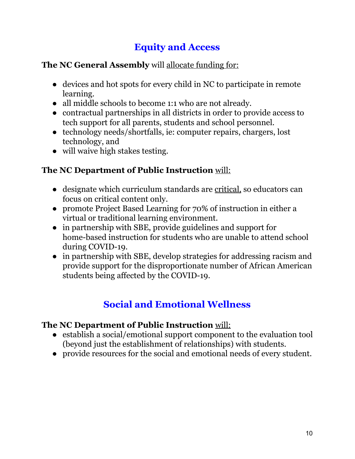# **Equity and Access**

## **The NC General Assembly** will allocate funding for:

- devices and hot spots for every child in NC to participate in remote learning.
- all middle schools to become 1:1 who are not already.
- contractual partnerships in all districts in order to provide access to tech support for all parents, students and school personnel.
- technology needs/shortfalls, ie: computer repairs, chargers, lost technology, and
- will waive high stakes testing.

## **The NC Department of Public Instruction** will:

- designate which curriculum standards are critical, so educators can focus on critical content only.
- promote Project Based Learning for 70% of instruction in either a virtual or traditional learning environment.
- in partnership with SBE, provide guidelines and support for home-based instruction for students who are unable to attend school during COVID-19.
- in partnership with SBE, develop strategies for addressing racism and provide support for the disproportionate number of African American students being affected by the COVID-19.

## **Social and Emotional Wellness**

#### **The NC Department of Public Instruction** will:

- establish a social/emotional support component to the evaluation tool (beyond just the establishment of relationships) with students.
- provide resources for the social and emotional needs of every student.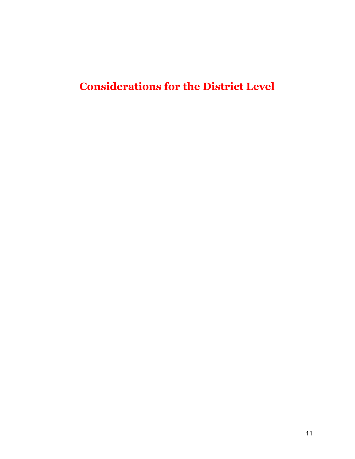# **Considerations for the District Level**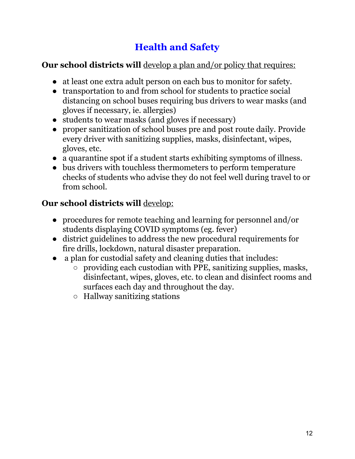# **Health and Safety**

## **Our school districts will** develop a plan and/or policy that requires:

- at least one extra adult person on each bus to monitor for safety.
- transportation to and from school for students to practice social distancing on school buses requiring bus drivers to wear masks (and gloves if necessary, ie. allergies)
- students to wear masks (and gloves if necessary)
- proper sanitization of school buses pre and post route daily. Provide every driver with sanitizing supplies, masks, disinfectant, wipes, gloves, etc.
- a quarantine spot if a student starts exhibiting symptoms of illness.
- bus drivers with touchless thermometers to perform temperature checks of students who advise they do not feel well during travel to or from school.

## **Our school districts will** develop:

- procedures for remote teaching and learning for personnel and/or students displaying COVID symptoms (eg. fever)
- district guidelines to address the new procedural requirements for fire drills, lockdown, natural disaster preparation.
- a plan for custodial safety and cleaning duties that includes:
	- providing each custodian with PPE, sanitizing supplies, masks, disinfectant, wipes, gloves, etc. to clean and disinfect rooms and surfaces each day and throughout the day.
	- Hallway sanitizing stations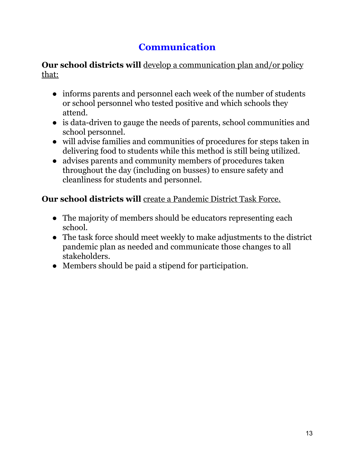# **Communication**

**Our school districts will** develop a communication plan and/or policy that:

- informs parents and personnel each week of the number of students or school personnel who tested positive and which schools they attend.
- is data-driven to gauge the needs of parents, school communities and school personnel.
- will advise families and communities of procedures for steps taken in delivering food to students while this method is still being utilized.
- advises parents and community members of procedures taken throughout the day (including on busses) to ensure safety and cleanliness for students and personnel.

## **Our school districts will** create a Pandemic District Task Force.

- The majority of members should be educators representing each school.
- The task force should meet weekly to make adjustments to the district pandemic plan as needed and communicate those changes to all stakeholders.
- Members should be paid a stipend for participation.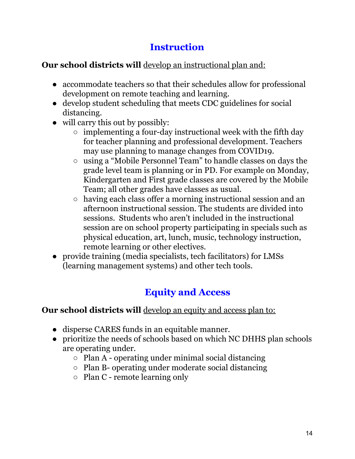## **Instruction**

## **Our school districts will** develop an instructional plan and:

- accommodate teachers so that their schedules allow for professional development on remote teaching and learning.
- develop student scheduling that meets CDC guidelines for social distancing.
- will carry this out by possibly:
	- $\circ$  implementing a four-day instructional week with the fifth day for teacher planning and professional development. Teachers may use planning to manage changes from COVID19.
	- using a "Mobile Personnel Team" to handle classes on days the grade level team is planning or in PD. For example on Monday, Kindergarten and First grade classes are covered by the Mobile Team; all other grades have classes as usual.
	- having each class offer a morning instructional session and an afternoon instructional session. The students are divided into sessions. Students who aren't included in the instructional session are on school property participating in specials such as physical education, art, lunch, music, technology instruction, remote learning or other electives.
- provide training (media specialists, tech facilitators) for LMSs (learning management systems) and other tech tools.

# **Equity and Access**

## **Our school districts will** develop an equity and access plan to:

- disperse CARES funds in an equitable manner.
- prioritize the needs of schools based on which NC DHHS plan schools are operating under.
	- Plan A operating under minimal social distancing
	- Plan B- operating under moderate social distancing
	- $\circ$  Plan C remote learning only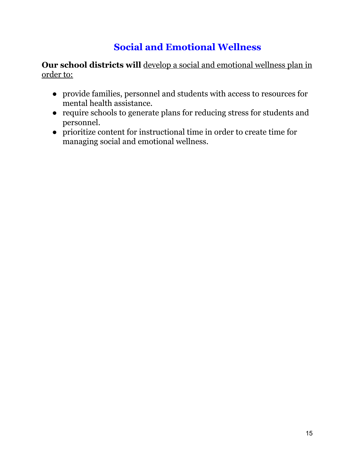# **Social and Emotional Wellness**

**Our school districts will** develop a social and emotional wellness plan in order to:

- provide families, personnel and students with access to resources for mental health assistance.
- require schools to generate plans for reducing stress for students and personnel.
- prioritize content for instructional time in order to create time for managing social and emotional wellness.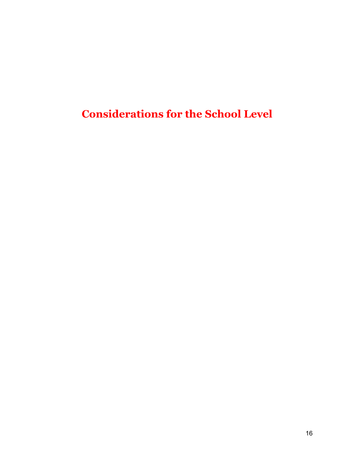**Considerations for the School Level**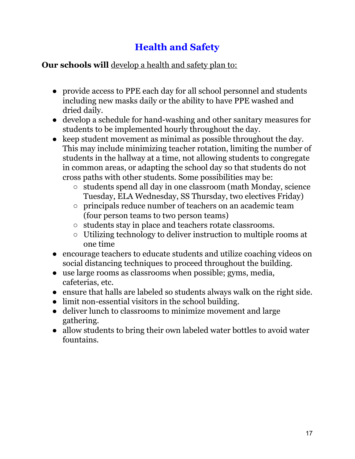# **Health and Safety**

#### **Our schools will** develop a health and safety plan to:

- provide access to PPE each day for all school personnel and students including new masks daily or the ability to have PPE washed and dried daily.
- develop a schedule for hand-washing and other sanitary measures for students to be implemented hourly throughout the day.
- keep student movement as minimal as possible throughout the day. This may include minimizing teacher rotation, limiting the number of students in the hallway at a time, not allowing students to congregate in common areas, or adapting the school day so that students do not cross paths with other students. Some possibilities may be:
	- students spend all day in one classroom (math Monday, science Tuesday, ELA Wednesday, SS Thursday, two electives Friday)
	- principals reduce number of teachers on an academic team (four person teams to two person teams)
	- students stay in place and teachers rotate classrooms.
	- Utilizing technology to deliver instruction to multiple rooms at one time
- encourage teachers to educate students and utilize coaching videos on social distancing techniques to proceed throughout the building.
- use large rooms as classrooms when possible; gyms, media, cafeterias, etc.
- ensure that halls are labeled so students always walk on the right side.
- limit non-essential visitors in the school building.
- deliver lunch to classrooms to minimize movement and large gathering.
- allow students to bring their own labeled water bottles to avoid water fountains.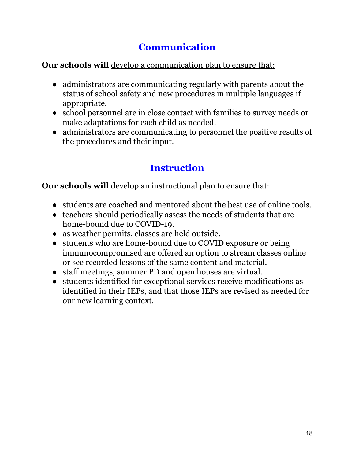# **Communication**

#### **Our schools will** develop a communication plan to ensure that:

- administrators are communicating regularly with parents about the status of school safety and new procedures in multiple languages if appropriate.
- school personnel are in close contact with families to survey needs or make adaptations for each child as needed.
- administrators are communicating to personnel the positive results of the procedures and their input.

## **Instruction**

## **Our schools will** develop an instructional plan to ensure that:

- students are coached and mentored about the best use of online tools.
- teachers should periodically assess the needs of students that are home-bound due to COVID-19.
- as weather permits, classes are held outside.
- students who are home-bound due to COVID exposure or being immunocompromised are offered an option to stream classes online or see recorded lessons of the same content and material.
- staff meetings, summer PD and open houses are virtual.
- students identified for exceptional services receive modifications as identified in their IEPs, and that those IEPs are revised as needed for our new learning context.